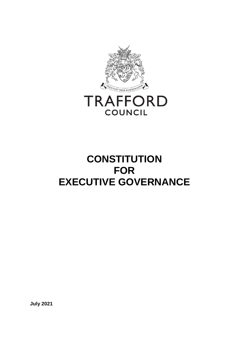

# **CONSTITUTION FOR EXECUTIVE GOVERNANCE**

**July 2021**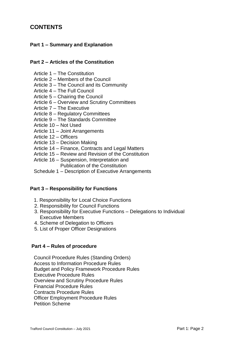# **CONTENTS**

## **Part 1 – Summary and Explanation**

#### **Part 2 – Articles of the Constitution**

- Article 1 The Constitution
- Article 2 Members of the Council
- Article 3 The Council and its Community
- Article 4 The Full Council
- Article 5 Chairing the Council
- Article 6 Overview and Scrutiny Committees
- Article 7 The Executive
- Article 8 Regulatory Committees
- Article 9 The Standards Committee
- Article 10 Not Used
- Article 11 Joint Arrangements
- Article 12 Officers
- Article 13 Decision Making
- Article 14 Finance, Contracts and Legal Matters
- Article 15 Review and Revision of the Constitution
- Article 16 Suspension, Interpretation and Publication of the Constitution
- Schedule 1 Description of Executive Arrangements

#### **Part 3 – Responsibility for Functions**

- 1. Responsibility for Local Choice Functions
- 2. Responsibility for Council Functions
- 3. Responsibility for Executive Functions Delegations to Individual Executive Members
- 4. Scheme of Delegation to Officers
- 5. List of Proper Officer Designations

#### **Part 4 – Rules of procedure**

Council Procedure Rules (Standing Orders) Access to Information Procedure Rules Budget and Policy Framework Procedure Rules Executive Procedure Rules Overview and Scrutiny Procedure Rules Financial Procedure Rules Contracts Procedure Rules Officer Employment Procedure Rules Petition Scheme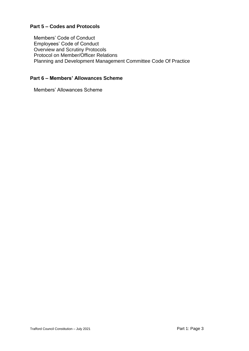## **Part 5 – Codes and Protocols**

Members' Code of Conduct Employees' Code of Conduct Overview and Scrutiny Protocols Protocol on Member/Officer Relations Planning and Development Management Committee Code Of Practice

## **Part 6 – Members' Allowances Scheme**

Members' Allowances Scheme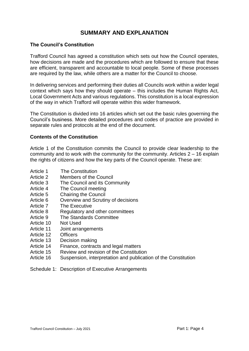# **SUMMARY AND EXPLANATION**

#### **The Council's Constitution**

Trafford Council has agreed a constitution which sets out how the Council operates, how decisions are made and the procedures which are followed to ensure that these are efficient, transparent and accountable to local people. Some of these processes are required by the law, while others are a matter for the Council to choose.

In delivering services and performing their duties all Councils work within a wider legal context which says how they should operate – this includes the Human Rights Act, Local Government Acts and various regulations. This constitution is a local expression of the way in which Trafford will operate within this wider framework.

The Constitution is divided into 16 articles which set out the basic rules governing the Council's business. More detailed procedures and codes of practice are provided in separate rules and protocols at the end of the document.

#### **Contents of the Constitution**

Article 1 of the Constitution commits the Council to provide clear leadership to the community and to work with the community for the community. Articles 2 – 16 explain the rights of citizens and how the key parts of the Council operate. These are:

- Article 1 The Constitution
- Article 2 Members of the Council
- Article 3 The Council and its Community
- Article 4 The Council meeting
- Article 5 Chairing the Council
- Article 6 Overview and Scrutiny of decisions
- Article 7 The Executive
- Article 8 Regulatory and other committees
- Article 9 The Standards Committee
- Article 10 Not Used
- Article 11 Joint arrangements
- Article 12 Officers
- Article 13 Decision making
- Article 14 Finance, contracts and legal matters
- Article 15 Review and revision of the Constitution
- Article 16 Suspension, interpretation and publication of the Constitution

#### Schedule 1: Description of Executive Arrangements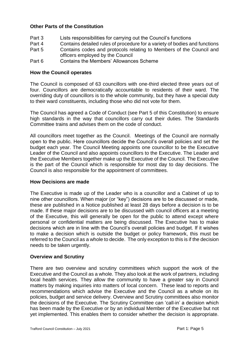#### **Other Parts of the Constitution**

- Part 3 Lists responsibilities for carrying out the Council's functions
- Part 4 Contains detailed rules of procedure for a variety of bodies and functions
- Part 5 Contains codes and protocols relating to Members of the Council and officers employed by the Council
- Part 6 Contains the Members' Allowances Scheme

#### **How the Council operates**

The Council is composed of 63 councillors with one-third elected three years out of four. Councillors are democratically accountable to residents of their ward. The overriding duty of councillors is to the whole community, but they have a special duty to their ward constituents, including those who did not vote for them.

The Council has agreed a Code of Conduct (see Part 5 of this Constitution) to ensure high standards in the way that councillors carry out their duties. The Standards Committee trains and advises them on the code of conduct.

All councillors meet together as the Council. Meetings of the Council are normally open to the public. Here councillors decide the Council's overall policies and set the budget each year. The Council Meeting appoints one councillor to be the Executive Leader of the Council and also appoints councillors to the Executive. The Leader and the Executive Members together make up the Executive of the Council. The Executive is the part of the Council which is responsible for most day to day decisions. The Council is also responsible for the appointment of committees.

#### **How Decisions are made**

The Executive is made up of the Leader who is a councillor and a Cabinet of up to nine other councillors. When major (or "key") decisions are to be discussed or made, these are published in a Notice published at least 28 days before a decision is to be made. If these major decisions are to be discussed with council officers at a meeting of the Executive, this will generally be open for the public to attend except where personal or confidential matters are being discussed. The Executive has to make decisions which are in line with the Council's overall policies and budget. If it wishes to make a decision which is outside the budget or policy framework, this must be referred to the Council as a whole to decide. The only exception to this is if the decision needs to be taken urgently.

#### **Overview and Scrutiny**

There are two overview and scrutiny committees which support the work of the Executive and the Council as a whole. They also look at the work of partners, including local health services. They allow the community to have a greater say in Council matters by making inquiries into matters of local concern. These lead to reports and recommendations which advise the Executive and the Council as a whole on its policies, budget and service delivery. Overview and Scrutiny committees also monitor the decisions of the Executive. The Scrutiny Committee can 'call-in' a decision which has been made by the Executive or by an individual Member of the Executive but not yet implemented. This enables them to consider whether the decision is appropriate.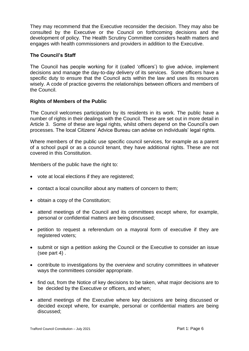They may recommend that the Executive reconsider the decision. They may also be consulted by the Executive or the Council on forthcoming decisions and the development of policy. The Health Scrutiny Committee considers health matters and engages with health commissioners and providers in addition to the Executive.

#### **The Council's Staff**

The Council has people working for it (called 'officers') to give advice, implement decisions and manage the day-to-day delivery of its services. Some officers have a specific duty to ensure that the Council acts within the law and uses its resources wisely. A code of practice governs the relationships between officers and members of the Council.

#### **Rights of Members of the Public**

The Council welcomes participation by its residents in its work. The public have a number of rights in their dealings with the Council. These are set out in more detail in Article 3. Some of these are legal rights, whilst others depend on the Council's own processes. The local Citizens' Advice Bureau can advise on individuals' legal rights.

Where members of the public use specific council services, for example as a parent of a school pupil or as a council tenant, they have additional rights. These are not covered in this Constitution.

Members of the public have the right to:

- vote at local elections if they are registered;
- contact a local councillor about any matters of concern to them;
- obtain a copy of the Constitution;
- attend meetings of the Council and its committees except where, for example, personal or confidential matters are being discussed;
- petition to request a referendum on a mayoral form of executive if they are registered voters;
- submit or sign a petition asking the Council or the Executive to consider an issue (see part 4) .
- contribute to investigations by the overview and scrutiny committees in whatever ways the committees consider appropriate.
- find out, from the Notice of key decisions to be taken, what major decisions are to be decided by the Executive or officers, and when;
- attend meetings of the Executive where key decisions are being discussed or decided except where, for example, personal or confidential matters are being discussed;